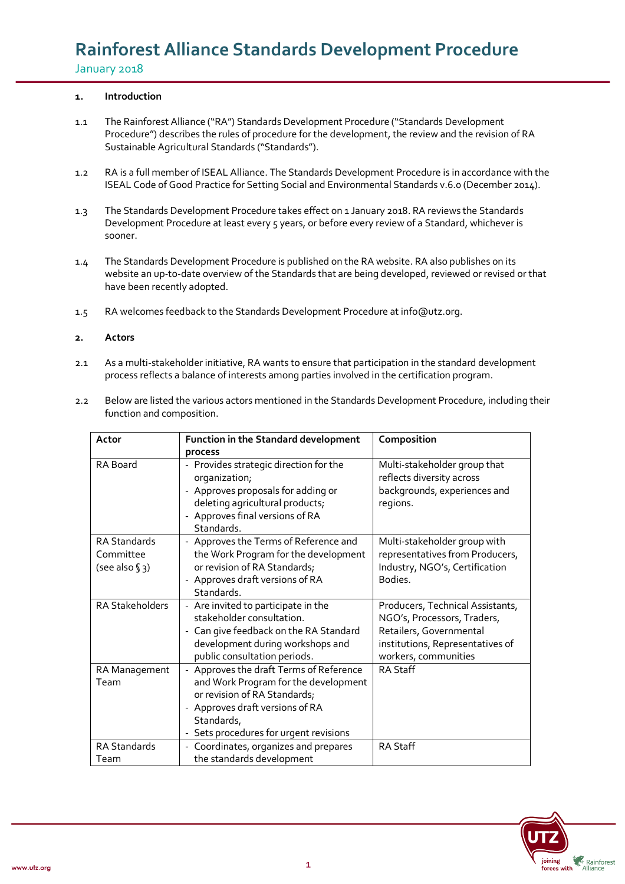### **1. Introduction**

- 1.1 The Rainforest Alliance ("RA") Standards Development Procedure ("Standards Development Procedure") describes the rules of procedure for the development, the review and the revision of RA Sustainable Agricultural Standards ("Standards").
- 1.2 RA is a full member of ISEAL Alliance. The Standards Development Procedure is in accordance with the ISEAL Code of Good Practice for Setting Social and Environmental Standards v.6.0 (December 2014).
- 1.3 The Standards Development Procedure takes effect on 1 January 2018. RA reviews the Standards Development Procedure at least every 5 years, or before every review of a Standard, whichever is sooner.
- 1.4 The Standards Development Procedure is published on the RA website. RA also publishes on its website an up-to-date overview of the Standards that are being developed, reviewed or revised or that have been recently adopted.
- 1.5 RA welcomes feedback to the Standards Development Procedure at info@utz.org.

### **2. Actors**

- 2.1 As a multi-stakeholder initiative, RA wants to ensure that participation in the standard development process reflects a balance of interests among parties involved in the certification program.
- 2.2 Below are listed the various actors mentioned in the Standards Development Procedure, including their function and composition.

| Actor                                             | Function in the Standard development                                                                                                                                                                                               | Composition                                                                                                                                            |
|---------------------------------------------------|------------------------------------------------------------------------------------------------------------------------------------------------------------------------------------------------------------------------------------|--------------------------------------------------------------------------------------------------------------------------------------------------------|
|                                                   | process                                                                                                                                                                                                                            |                                                                                                                                                        |
| <b>RA</b> Board                                   | - Provides strategic direction for the<br>organization;<br>Approves proposals for adding or<br>deleting agricultural products;<br>Approves final versions of RA<br>Standards.                                                      | Multi-stakeholder group that<br>reflects diversity across<br>backgrounds, experiences and<br>regions.                                                  |
| <b>RA Standards</b><br>Committee<br>(see also §3) | - Approves the Terms of Reference and<br>the Work Program for the development<br>or revision of RA Standards;<br>Approves draft versions of RA<br>Standards.                                                                       | Multi-stakeholder group with<br>representatives from Producers,<br>Industry, NGO's, Certification<br>Bodies.                                           |
| <b>RA Stakeholders</b>                            | - Are invited to participate in the<br>stakeholder consultation.<br>Can give feedback on the RA Standard<br>development during workshops and<br>public consultation periods.                                                       | Producers, Technical Assistants,<br>NGO's, Processors, Traders,<br>Retailers, Governmental<br>institutions, Representatives of<br>workers, communities |
| RA Management<br>Team                             | Approves the draft Terms of Reference<br>$\overline{\phantom{a}}$<br>and Work Program for the development<br>or revision of RA Standards;<br>Approves draft versions of RA<br>Standards,<br>- Sets procedures for urgent revisions | <b>RA Staff</b>                                                                                                                                        |
| <b>RA Standards</b><br>Team                       | - Coordinates, organizes and prepares<br>the standards development                                                                                                                                                                 | <b>RA Staff</b>                                                                                                                                        |

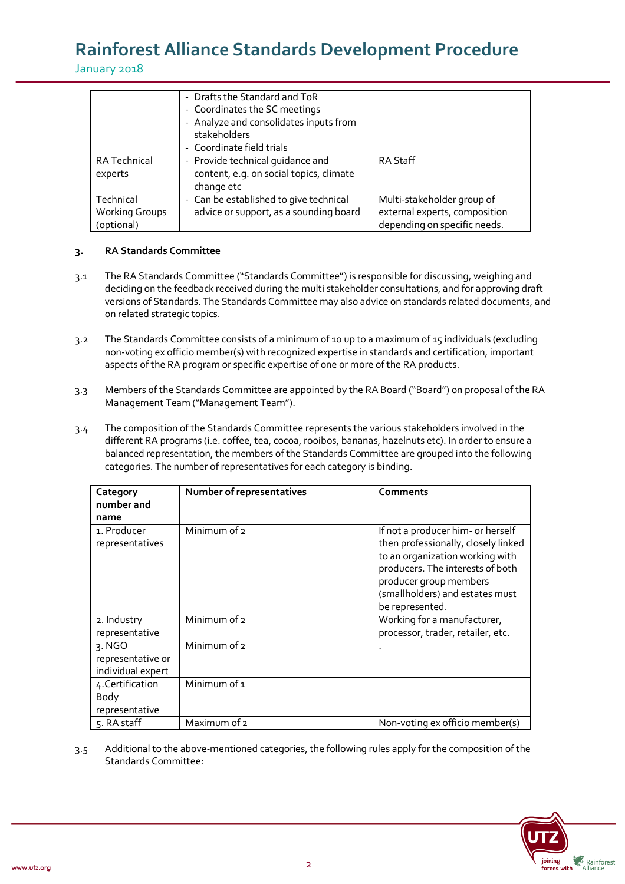January 2018

| RA Technical<br>experts             | - Drafts the Standard and ToR<br>- Coordinates the SC meetings<br>- Analyze and consolidates inputs from<br>stakeholders<br>- Coordinate field trials<br>- Provide technical quidance and<br>content, e.g. on social topics, climate | <b>RA Staff</b>                                               |
|-------------------------------------|--------------------------------------------------------------------------------------------------------------------------------------------------------------------------------------------------------------------------------------|---------------------------------------------------------------|
| Technical                           | change etc<br>- Can be established to give technical                                                                                                                                                                                 | Multi-stakeholder group of                                    |
| <b>Working Groups</b><br>(optional) | advice or support, as a sounding board                                                                                                                                                                                               | external experts, composition<br>depending on specific needs. |

### **3. RA Standards Committee**

- 3.1 The RA Standards Committee ("Standards Committee") is responsible for discussing, weighing and deciding on the feedback received during the multi stakeholder consultations, and for approving draft versions of Standards. The Standards Committee may also advice on standards related documents, and on related strategic topics.
- 3.2 The Standards Committee consists of a minimum of 10 up to a maximum of 15 individuals (excluding non-voting ex officio member(s) with recognized expertise in standards and certification, important aspects of the RA program or specific expertise of one or more of the RA products.
- 3.3 Members of the Standards Committee are appointed by the RA Board ("Board") on proposal of the RA Management Team ("Management Team").
- 3.4 The composition of the Standards Committee represents the various stakeholders involved in the different RA programs (i.e. coffee, tea, cocoa, rooibos, bananas, hazelnuts etc). In order to ensure a balanced representation, the members of the Standards Committee are grouped into the following categories. The number of representatives for each category is binding.

| Category<br>number and<br>name                   | Number of representatives | <b>Comments</b>                                                                                                                                                                                                                 |
|--------------------------------------------------|---------------------------|---------------------------------------------------------------------------------------------------------------------------------------------------------------------------------------------------------------------------------|
| 1. Producer<br>representatives                   | Minimum of 2              | If not a producer him- or herself<br>then professionally, closely linked<br>to an organization working with<br>producers. The interests of both<br>producer group members<br>(smallholders) and estates must<br>be represented. |
| 2. Industry<br>representative                    | Minimum of 2              | Working for a manufacturer,<br>processor, trader, retailer, etc.                                                                                                                                                                |
| 3. NGO<br>representative or<br>individual expert | Minimum of 2              |                                                                                                                                                                                                                                 |
| 4. Certification<br>Body<br>representative       | Minimum of 1              |                                                                                                                                                                                                                                 |
| 5. RA staff                                      | Maximum of 2              | Non-voting ex officio member(s)                                                                                                                                                                                                 |

3.5 Additional to the above-mentioned categories, the following rules apply for the composition of the Standards Committee:

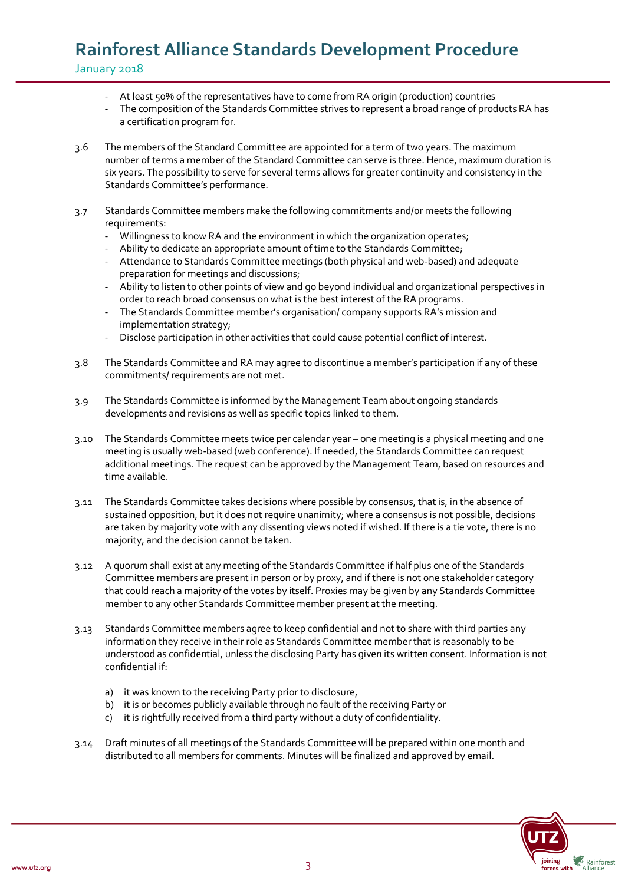- At least 50% of the representatives have to come from RA origin (production) countries
- The composition of the Standards Committee strives to represent a broad range of products RA has a certification program for.
- 3.6 The members of the Standard Committee are appointed for a term of two years. The maximum number of terms a member of the Standard Committee can serve is three. Hence, maximum duration is six years. The possibility to serve for several terms allows for greater continuity and consistency in the Standards Committee's performance.
- 3.7 Standards Committee members make the following commitments and/or meets the following requirements:
	- Willingness to know RA and the environment in which the organization operates;
	- Ability to dedicate an appropriate amount of time to the Standards Committee;
	- Attendance to Standards Committee meetings (both physical and web-based) and adequate preparation for meetings and discussions;
	- Ability to listen to other points of view and go beyond individual and organizational perspectives in order to reach broad consensus on what is the best interest of the RA programs.
	- The Standards Committee member's organisation/ company supports RA's mission and implementation strategy;
	- Disclose participation in other activities that could cause potential conflict of interest.
- 3.8 The Standards Committee and RA may agree to discontinue a member's participation if any of these commitments/ requirements are not met.
- 3.9 The Standards Committee is informed by the Management Team about ongoing standards developments and revisions as well as specific topics linked to them.
- 3.10 The Standards Committee meets twice per calendar year one meeting is a physical meeting and one meeting is usually web-based (web conference). If needed, the Standards Committee can request additional meetings. The request can be approved by the Management Team, based on resources and time available.
- 3.11 The Standards Committee takes decisions where possible by consensus, that is, in the absence of sustained opposition, but it does not require unanimity; where a consensus is not possible, decisions are taken by majority vote with any dissenting views noted if wished. If there is a tie vote, there is no majority, and the decision cannot be taken.
- 3.12 A quorum shall exist at any meeting of the Standards Committee if half plus one of the Standards Committee members are present in person or by proxy, and if there is not one stakeholder category that could reach a majority of the votes by itself. Proxies may be given by any Standards Committee member to any other Standards Committee member present at the meeting.
- 3.13 Standards Committee members agree to keep confidential and not to share with third parties any information they receive in their role as Standards Committee member that is reasonably to be understood as confidential, unless the disclosing Party has given its written consent. Information is not confidential if:
	- a) it was known to the receiving Party prior to disclosure,
	- b) it is or becomes publicly available through no fault of the receiving Party or
	- c) it is rightfully received from a third party without a duty of confidentiality.
- 3.14 Draft minutes of all meetings of the Standards Committee will be prepared within one month and distributed to all members for comments. Minutes will be finalized and approved by email.

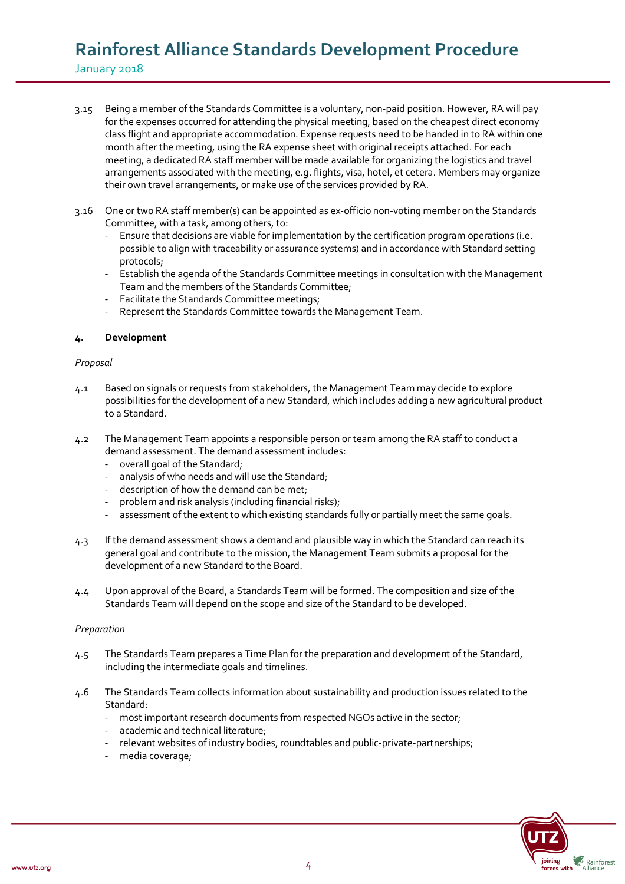- 3.15 Being a member of the Standards Committee is a voluntary, non-paid position. However, RA will pay for the expenses occurred for attending the physical meeting, based on the cheapest direct economy class flight and appropriate accommodation. Expense requests need to be handed in to RA within one month after the meeting, using the RA expense sheet with original receipts attached. For each meeting, a dedicated RA staff member will be made available for organizing the logistics and travel arrangements associated with the meeting, e.g. flights, visa, hotel, et cetera. Members may organize their own travel arrangements, or make use of the services provided by RA.
- 3.16 One or two RA staff member(s) can be appointed as ex-officio non-voting member on the Standards Committee, with a task, among others, to:
	- Ensure that decisions are viable for implementation by the certification program operations (i.e. possible to align with traceability or assurance systems) and in accordance with Standard setting protocols;
	- Establish the agenda of the Standards Committee meetings in consultation with the Management Team and the members of the Standards Committee;
	- Facilitate the Standards Committee meetings;
	- Represent the Standards Committee towards the Management Team.

### **4. Development**

### *Proposal*

- 4.1 Based on signals or requests from stakeholders, the Management Team may decide to explore possibilities for the development of a new Standard, which includes adding a new agricultural product to a Standard.
- 4.2 The Management Team appoints a responsible person or team among the RA staff to conduct a demand assessment. The demand assessment includes:
	- overall goal of the Standard;
	- analysis of who needs and will use the Standard;
	- description of how the demand can be met;
	- problem and risk analysis (including financial risks);
	- assessment of the extent to which existing standards fully or partially meet the same goals.
- 4.3 If the demand assessment shows a demand and plausible way in which the Standard can reach its general goal and contribute to the mission, the Management Team submits a proposal for the development of a new Standard to the Board.
- 4.4 Upon approval of the Board, a Standards Team will be formed. The composition and size of the Standards Team will depend on the scope and size of the Standard to be developed.

### *Preparation*

- 4.5 The Standards Team prepares a Time Plan for the preparation and development of the Standard, including the intermediate goals and timelines.
- 4.6 The Standards Team collects information about sustainability and production issues related to the Standard:
	- most important research documents from respected NGOs active in the sector;
	- academic and technical literature;
	- relevant websites of industry bodies, roundtables and public-private-partnerships;
	- media coverage;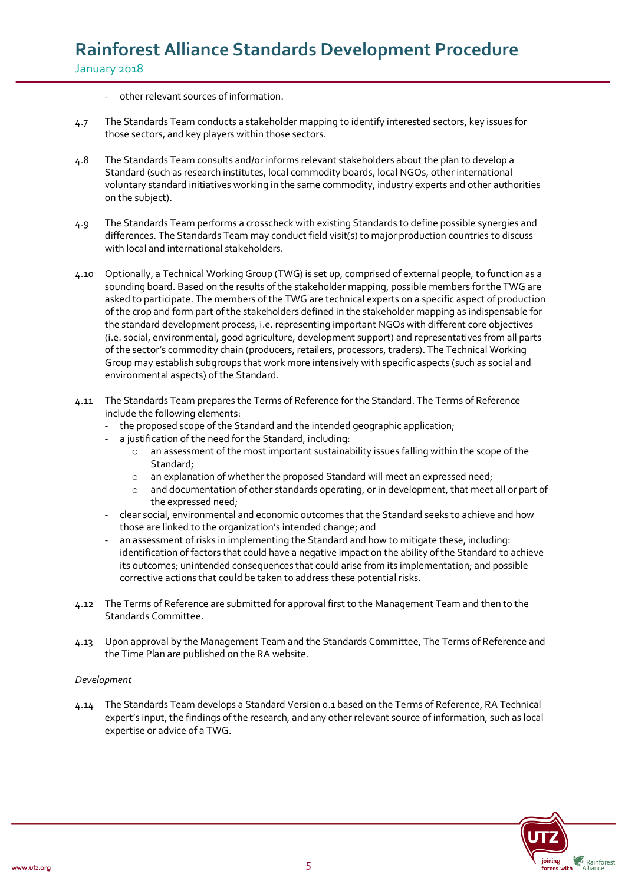- other relevant sources of information.
- 4.7 The Standards Team conducts a stakeholder mapping to identify interested sectors, key issues for those sectors, and key players within those sectors.
- 4.8 The Standards Team consults and/or informs relevant stakeholders about the plan to develop a Standard (such as research institutes, local commodity boards, local NGOs, other international voluntary standard initiatives working in the same commodity, industry experts and other authorities on the subject).
- 4.9 The Standards Team performs a crosscheck with existing Standards to define possible synergies and differences. The Standards Team may conduct field visit(s) to major production countries to discuss with local and international stakeholders.
- 4.10 Optionally, a Technical Working Group (TWG) is set up, comprised of external people, to function as a sounding board. Based on the results of the stakeholder mapping, possible members for the TWG are asked to participate. The members of the TWG are technical experts on a specific aspect of production of the crop and form part of the stakeholders defined in the stakeholder mapping as indispensable for the standard development process, i.e. representing important NGOs with different core objectives (i.e. social, environmental, good agriculture, development support) and representatives from all parts of the sector's commodity chain (producers, retailers, processors, traders). The Technical Working Group may establish subgroups that work more intensively with specific aspects (such as social and environmental aspects) of the Standard.
- 4.11 The Standards Team prepares the Terms of Reference for the Standard. The Terms of Reference include the following elements:
	- the proposed scope of the Standard and the intended geographic application;
	- a justification of the need for the Standard, including:
		- o an assessment of the most important sustainability issues falling within the scope of the Standard;
		- o an explanation of whether the proposed Standard will meet an expressed need;
		- $\circ$  and documentation of other standards operating, or in development, that meet all or part of the expressed need;
	- clear social, environmental and economic outcomes that the Standard seeks to achieve and how those are linked to the organization's intended change; and
	- an assessment of risks in implementing the Standard and how to mitigate these, including: identification of factors that could have a negative impact on the ability of the Standard to achieve its outcomes; unintended consequences that could arise from its implementation; and possible corrective actions that could be taken to address these potential risks.
- 4.12 The Terms of Reference are submitted for approval first to the Management Team and then to the Standards Committee.
- 4.13 Upon approval by the Management Team and the Standards Committee, The Terms of Reference and the Time Plan are published on the RA website.

### *Development*

4.14 The Standards Team develops a Standard Version 0.1 based on the Terms of Reference, RA Technical expert's input, the findings of the research, and any other relevant source of information, such as local expertise or advice of a TWG.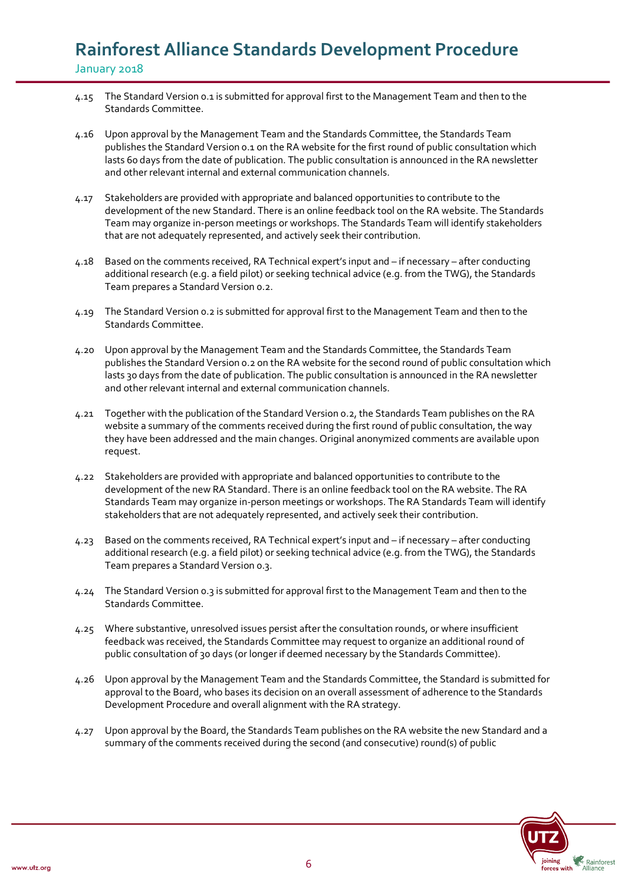- 4.15 The Standard Version 0.1 is submitted for approval first to the Management Team and then to the Standards Committee.
- 4.16 Upon approval by the Management Team and the Standards Committee, the Standards Team publishes the Standard Version 0.1 on the RA website for the first round of public consultation which lasts 60 days from the date of publication. The public consultation is announced in the RA newsletter and other relevant internal and external communication channels.
- 4.17 Stakeholders are provided with appropriate and balanced opportunities to contribute to the development of the new Standard. There is an online feedback tool on the RA website. The Standards Team may organize in-person meetings or workshops. The Standards Team will identify stakeholders that are not adequately represented, and actively seek their contribution.
- 4.18 Based on the comments received, RA Technical expert's input and if necessary after conducting additional research (e.g. a field pilot) or seeking technical advice (e.g. from the TWG), the Standards Team prepares a Standard Version 0.2.
- 4.19 The Standard Version 0.2 is submitted for approval first to the Management Team and then to the Standards Committee.
- 4.20 Upon approval by the Management Team and the Standards Committee, the Standards Team publishes the Standard Version 0.2 on the RA website for the second round of public consultation which lasts 30 days from the date of publication. The public consultation is announced in the RA newsletter and other relevant internal and external communication channels.
- 4.21 Together with the publication of the Standard Version 0.2, the Standards Team publishes on the RA website a summary of the comments received during the first round of public consultation, the way they have been addressed and the main changes. Original anonymized comments are available upon request.
- 4.22 Stakeholders are provided with appropriate and balanced opportunities to contribute to the development of the new RA Standard. There is an online feedback tool on the RA website. The RA Standards Team may organize in-person meetings or workshops. The RA Standards Team will identify stakeholders that are not adequately represented, and actively seek their contribution.
- 4.23 Based on the comments received, RA Technical expert's input and if necessary after conducting additional research (e.g. a field pilot) or seeking technical advice (e.g. from the TWG), the Standards Team prepares a Standard Version 0.3.
- 4.24 The Standard Version 0.3 is submitted for approval first to the Management Team and then to the Standards Committee.
- 4.25 Where substantive, unresolved issues persist after the consultation rounds, or where insufficient feedback was received, the Standards Committee may request to organize an additional round of public consultation of 30 days (or longer if deemed necessary by the Standards Committee).
- 4.26 Upon approval by the Management Team and the Standards Committee, the Standard is submitted for approval to the Board, who bases its decision on an overall assessment of adherence to the Standards Development Procedure and overall alignment with the RA strategy.
- 4.27 Upon approval by the Board, the Standards Team publishes on the RA website the new Standard and a summary of the comments received during the second (and consecutive) round(s) of public

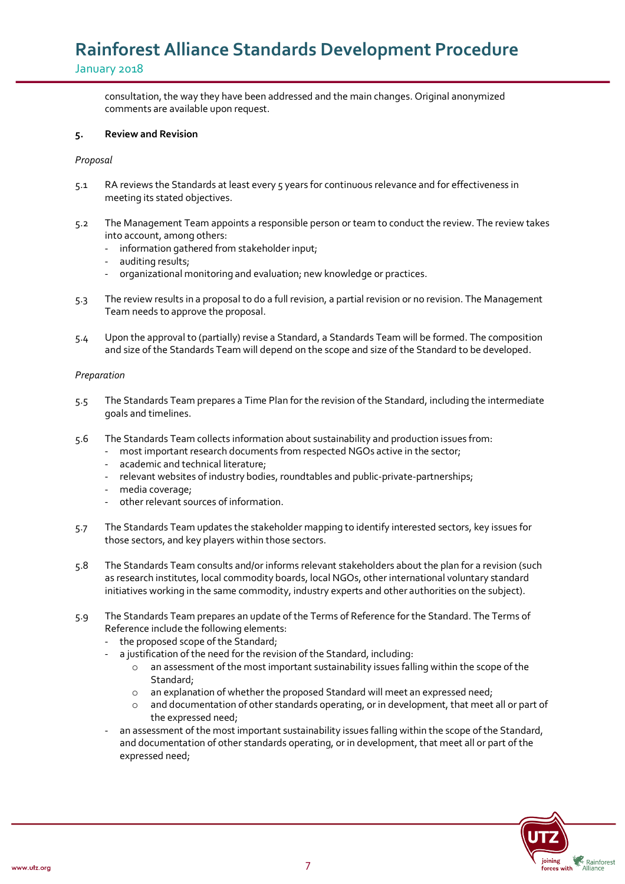consultation, the way they have been addressed and the main changes. Original anonymized comments are available upon request.

### **5. Review and Revision**

### *Proposal*

- 5.1 RA reviews the Standards at least every 5 years for continuous relevance and for effectiveness in meeting its stated objectives.
- 5.2 The Management Team appoints a responsible person or team to conduct the review. The review takes into account, among others:
	- information gathered from stakeholder input;
	- auditing results;
	- organizational monitoring and evaluation; new knowledge or practices.
- 5.3 The review results in a proposal to do a full revision, a partial revision or no revision. The Management Team needs to approve the proposal.
- 5.4 Upon the approval to (partially) revise a Standard, a Standards Team will be formed. The composition and size of the Standards Team will depend on the scope and size of the Standard to be developed.

#### *Preparation*

- 5.5 The Standards Team prepares a Time Plan for the revision of the Standard, including the intermediate goals and timelines.
- 5.6 The Standards Team collects information about sustainability and production issues from:
	- most important research documents from respected NGOs active in the sector;
	- academic and technical literature;
	- relevant websites of industry bodies, roundtables and public-private-partnerships;
	- media coverage;
	- other relevant sources of information.
- 5.7 The Standards Team updates the stakeholder mapping to identify interested sectors, key issues for those sectors, and key players within those sectors.
- 5.8 The Standards Team consults and/or informs relevant stakeholders about the plan for a revision (such as research institutes, local commodity boards, local NGOs, other international voluntary standard initiatives working in the same commodity, industry experts and other authorities on the subject).
- 5.9 The Standards Team prepares an update of the Terms of Reference for the Standard. The Terms of Reference include the following elements:
	- the proposed scope of the Standard;
	- a justification of the need for the revision of the Standard, including:
		- an assessment of the most important sustainability issues falling within the scope of the Standard;
		- o an explanation of whether the proposed Standard will meet an expressed need;
		- o and documentation of other standards operating, or in development, that meet all or part of the expressed need;
	- an assessment of the most important sustainability issues falling within the scope of the Standard, and documentation of other standards operating, or in development, that meet all or part of the expressed need;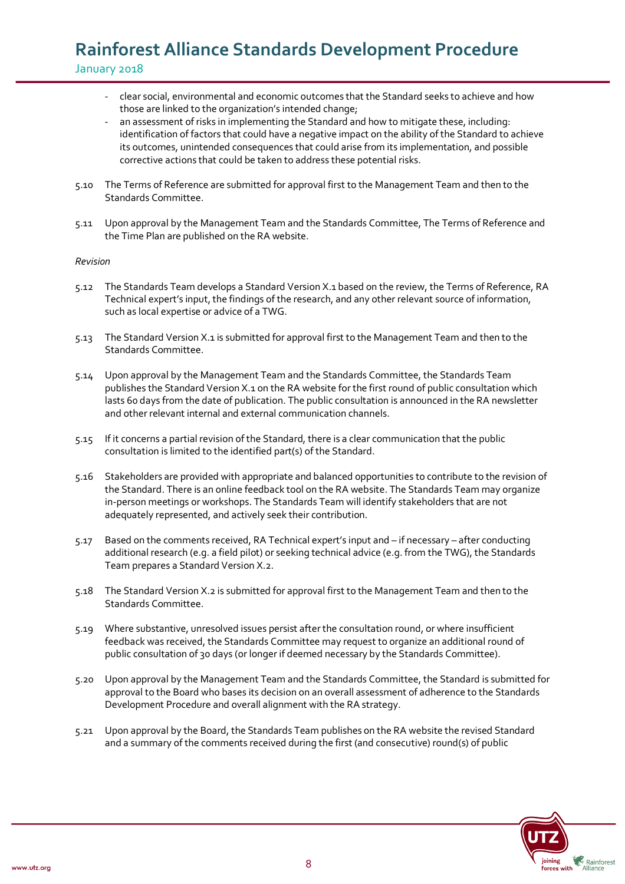- clear social, environmental and economic outcomes that the Standard seeks to achieve and how those are linked to the organization's intended change;
- an assessment of risks in implementing the Standard and how to mitigate these, including: identification of factors that could have a negative impact on the ability of the Standard to achieve its outcomes, unintended consequences that could arise from its implementation, and possible corrective actions that could be taken to address these potential risks.
- 5.10 The Terms of Reference are submitted for approval first to the Management Team and then to the Standards Committee.
- 5.11 Upon approval by the Management Team and the Standards Committee, The Terms of Reference and the Time Plan are published on the RA website.

### *Revision*

- 5.12 The Standards Team develops a Standard Version X.1 based on the review, the Terms of Reference, RA Technical expert's input, the findings of the research, and any other relevant source of information, such as local expertise or advice of a TWG.
- 5.13 The Standard Version X.1 is submitted for approval first to the Management Team and then to the Standards Committee.
- 5.14 Upon approval by the Management Team and the Standards Committee, the Standards Team publishes the Standard Version X.1 on the RA website for the first round of public consultation which lasts 60 days from the date of publication. The public consultation is announced in the RA newsletter and other relevant internal and external communication channels.
- 5.15 If it concerns a partial revision of the Standard, there is a clear communication that the public consultation is limited to the identified part(s) of the Standard.
- 5.16 Stakeholders are provided with appropriate and balanced opportunities to contribute to the revision of the Standard. There is an online feedback tool on the RA website. The Standards Team may organize in-person meetings or workshops. The Standards Team will identify stakeholders that are not adequately represented, and actively seek their contribution.
- 5.17 Based on the comments received, RA Technical expert's input and if necessary after conducting additional research (e.g. a field pilot) or seeking technical advice (e.g. from the TWG), the Standards Team prepares a Standard Version X.2.
- 5.18 The Standard Version X.2 is submitted for approval first to the Management Team and then to the Standards Committee.
- 5.19 Where substantive, unresolved issues persist after the consultation round, or where insufficient feedback was received, the Standards Committee may request to organize an additional round of public consultation of 30 days (or longer if deemed necessary by the Standards Committee).
- 5.20 Upon approval by the Management Team and the Standards Committee, the Standard is submitted for approval to the Board who bases its decision on an overall assessment of adherence to the Standards Development Procedure and overall alignment with the RA strategy.
- 5.21 Upon approval by the Board, the Standards Team publishes on the RA website the revised Standard and a summary of the comments received during the first (and consecutive) round(s) of public